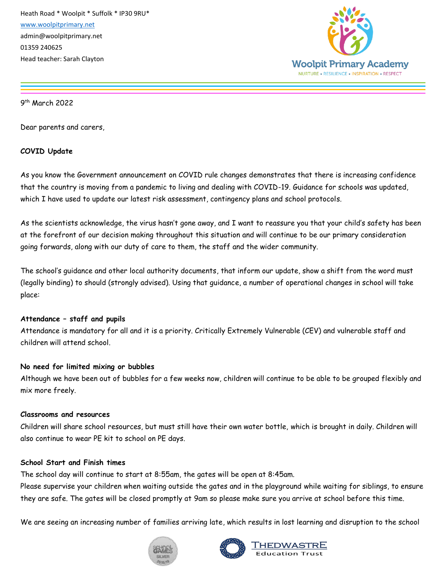

9 th March 2022

Dear parents and carers,

## **COVID Update**

As you know the Government announcement on COVID rule changes demonstrates that there is increasing confidence that the country is moving from a pandemic to living and dealing with COVID-19. Guidance for schools was updated, which I have used to update our latest risk assessment, contingency plans and school protocols.

As the scientists acknowledge, the virus hasn't gone away, and I want to reassure you that your child's safety has been at the forefront of our decision making throughout this situation and will continue to be our primary consideration going forwards, along with our duty of care to them, the staff and the wider community.

The school's guidance and other local authority documents, that inform our update, show a shift from the word must (legally binding) to should (strongly advised). Using that guidance, a number of operational changes in school will take place:

### **Attendance – staff and pupils**

Attendance is mandatory for all and it is a priority. Critically Extremely Vulnerable (CEV) and vulnerable staff and children will attend school.

## **No need for limited mixing or bubbles**

Although we have been out of bubbles for a few weeks now, children will continue to be able to be grouped flexibly and mix more freely.

### **Classrooms and resources**

Children will share school resources, but must still have their own water bottle, which is brought in daily. Children will also continue to wear PE kit to school on PE days.

### **School Start and Finish times**

The school day will continue to start at 8:55am, the gates will be open at 8:45am.

Please supervise your children when waiting outside the gates and in the playground while waiting for siblings, to ensure they are safe. The gates will be closed promptly at 9am so please make sure you arrive at school before this time.

We are seeing an increasing number of families arriving late, which results in lost learning and disruption to the school



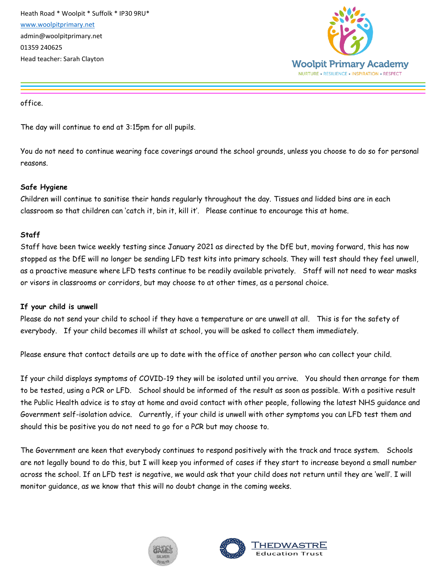

office.

The day will continue to end at 3:15pm for all pupils.

You do not need to continue wearing face coverings around the school grounds, unless you choose to do so for personal reasons.

# **Safe Hygiene**

Children will continue to sanitise their hands regularly throughout the day. Tissues and lidded bins are in each classroom so that children can 'catch it, bin it, kill it'. Please continue to encourage this at home.

# **Staff**

Staff have been twice weekly testing since January 2021 as directed by the DfE but, moving forward, this has now stopped as the DfE will no longer be sending LFD test kits into primary schools. They will test should they feel unwell, as a proactive measure where LFD tests continue to be readily available privately. Staff will not need to wear masks or visors in classrooms or corridors, but may choose to at other times, as a personal choice.

## **If your child is unwell**

Please do not send your child to school if they have a temperature or are unwell at all. This is for the safety of everybody. If your child becomes ill whilst at school, you will be asked to collect them immediately.

Please ensure that contact details are up to date with the office of another person who can collect your child.

If your child displays symptoms of COVID-19 they will be isolated until you arrive. You should then arrange for them to be tested, using a PCR or LFD. School should be informed of the result as soon as possible. With a positive result the Public Health advice is to stay at home and avoid contact with other people, following the latest NHS guidance and Government self-isolation advice. Currently, if your child is unwell with other symptoms you can LFD test them and should this be positive you do not need to go for a PCR but may choose to.

The Government are keen that everybody continues to respond positively with the track and trace system. Schools are not legally bound to do this, but I will keep you informed of cases if they start to increase beyond a small number across the school. If an LFD test is negative, we would ask that your child does not return until they are 'well'. I will monitor guidance, as we know that this will no doubt change in the coming weeks.



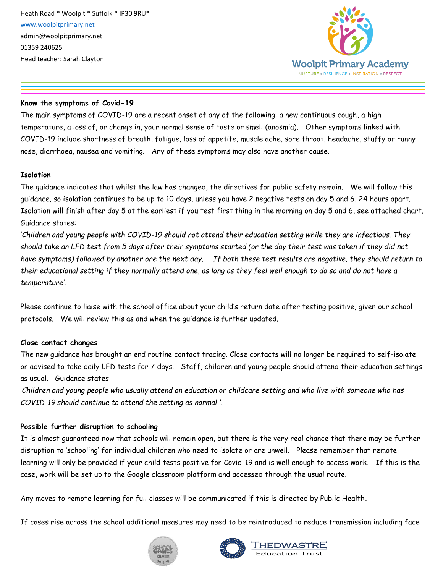

### **Know the symptoms of Covid-19**

The main symptoms of COVID-19 are a recent onset of any of the following: a new continuous cough, a high temperature, a loss of, or change in, your normal sense of taste or smell (anosmia). Other symptoms linked with COVID-19 include shortness of breath, fatigue, loss of appetite, muscle ache, sore throat, headache, stuffy or runny nose, diarrhoea, nausea and vomiting. Any of these symptoms may also have another cause.

### **Isolation**

The guidance indicates that whilst the law has changed, the directives for public safety remain. We will follow this guidance, so isolation continues to be up to 10 days, unless you have 2 negative tests on day 5 and 6, 24 hours apart. Isolation will finish after day 5 at the earliest if you test first thing in the morning on day 5 and 6, see attached chart. Guidance states:

*'Children and young people with COVID-19 should not attend their education setting while they are infectious. They should take an LFD test from 5 days after their symptoms started (or the day their test was taken if they did not have symptoms) followed by another one the next day. If both these test results are negative, they should return to their educational setting if they normally attend one, as long as they feel well enough to do so and do not have a temperature'.*

Please continue to liaise with the school office about your child's return date after testing positive, given our school protocols. We will review this as and when the guidance is further updated.

## **Close contact changes**

The new guidance has brought an end routine contact tracing. Close contacts will no longer be required to self-isolate or advised to take daily LFD tests for 7 days. Staff, children and young people should attend their education settings as usual. Guidance states:

'*Children and young people who usually attend an education or childcare setting and who live with someone who has COVID-19 should continue to attend the setting as normal '.*

## **Possible further disruption to schooling**

It is almost guaranteed now that schools will remain open, but there is the very real chance that there may be further disruption to 'schooling' for individual children who need to isolate or are unwell. Please remember that remote learning will only be provided if your child tests positive for Covid-19 and is well enough to access work. If this is the case, work will be set up to the Google classroom platform and accessed through the usual route.

Any moves to remote learning for full classes will be communicated if this is directed by Public Health.

If cases rise across the school additional measures may need to be reintroduced to reduce transmission including face